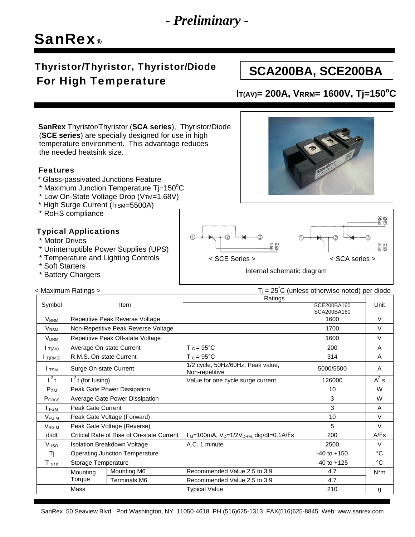# *- Preliminary -*

# SanRex®

## Thyristor/Thyristor, Thyristor/Diode For High Temperature

# **SCA200BA, SCE200BA**

### **IT(AV)= 200A, VRRM= 1600V, Tj=150<sup>o</sup>C**

 **SanRex** Thyristor/Thyristor (**SCA series**), Thyristor/Diode (**SCE series**) are specially designed for use in high temperature environment**.** This advantage reduces the needed heatsink size.

#### Features

- \* Glass-passivated Junctions Feature
- \* Maximum Junction Temperature Tj=150°C
	- \* Low On-State Voltage Drop (VTM=1.68V)
	- \* High Surge Current (ITSM=5500A)
	- \* RoHS compliance

### Typical Applications

- \* Motor Drives
- \* Uninterruptible Power Supplies (UPS)
- \* Temperature and Lighting Controls
- \* Soft Starters
- \* Battery Chargers

< Maximum Ratings >



Internal schematic diagram

 $T$  = 25<sup>°</sup>C (unless otherwise noted) per diode

| Symbol                  | <b>Item</b>                                           |                     | Ratings                                                                              |                     |             |
|-------------------------|-------------------------------------------------------|---------------------|--------------------------------------------------------------------------------------|---------------------|-------------|
|                         |                                                       |                     |                                                                                      | SCE200BA160         | Unit        |
|                         |                                                       |                     |                                                                                      | SCA200BA160<br>1600 | $\vee$      |
| <b>V</b> <sub>RRM</sub> | Repetitive Peak Reverse Voltage                       |                     |                                                                                      |                     |             |
| V <sub>RSM</sub>        | Non-Repetitive Peak Reverse Voltage                   |                     |                                                                                      | 1700                | $\vee$      |
| <b>V</b> <sub>DRM</sub> | Repetitive Peak Off-state Voltage                     |                     |                                                                                      | 1600                | $\vee$      |
| $I_{T(AV)}$             | Average On-state Current                              |                     | $T_c = 95^{\circ}C$                                                                  | 200                 | A           |
| T(RMS)                  | $T_c = 95^{\circ}C$<br>314<br>R.M.S. On-state Current |                     |                                                                                      | A                   |             |
| $I$ TSM                 | Surge On-state Current                                |                     | 1/2 cycle, 50Hz/60Hz, Peak value,<br>Non-repetitive                                  | 5000/5500           | A           |
| $l^2t$                  | $1^2$ t (for fusing)                                  |                     | Value for one cycle surge current                                                    | 126000              | $A^2$ s     |
| $P_{GM}$                | Peak Gate Power Dissipation                           |                     |                                                                                      | 10                  | W           |
| $P_{G(AV)}$             | Average Gate Power Dissipation                        |                     |                                                                                      | 3                   | W           |
| I FGM                   | Peak Gate Current                                     |                     |                                                                                      | 3                   | A           |
| $V_{FGM}$               | Peak Gate Voltage (Forward)                           |                     |                                                                                      | 10                  | $\vee$      |
| $V_{\text{RG M}}$       | Peak Gate Voltage (Reverse)                           |                     |                                                                                      | 5                   | $\vee$      |
| di/dt                   | Critical Rate of Rise of On-state Current             |                     | $1_{\text{G}} = 100 \text{mA}$ , $V_{\text{D}} = 1/2 V_{\text{DRM}}$ dig/dt=0.1A/F s | 200                 | A/Fs        |
| V <sub>ISO</sub>        | <b>Isolation Breakdown Voltage</b>                    |                     | A.C. 1 minute                                                                        | 2500                | V           |
| Tj                      | <b>Operating Junction Temperature</b>                 |                     |                                                                                      | $-40$ to $+150$     | $^{\circ}C$ |
| $T_{\text{stg}}$        | Storage Temperature                                   |                     |                                                                                      | $-40$ to $+125$     | °C.         |
|                         | Mounting<br>Torque                                    | Mounting M6         | Recommended Value 2.5 to 3.9                                                         | 4.7                 | $N^*m$      |
|                         |                                                       | <b>Terminals M6</b> | Recommended Value 2.5 to 3.9                                                         | 4.7                 |             |
|                         | Mass                                                  |                     | <b>Typical Value</b>                                                                 | 210                 | g           |